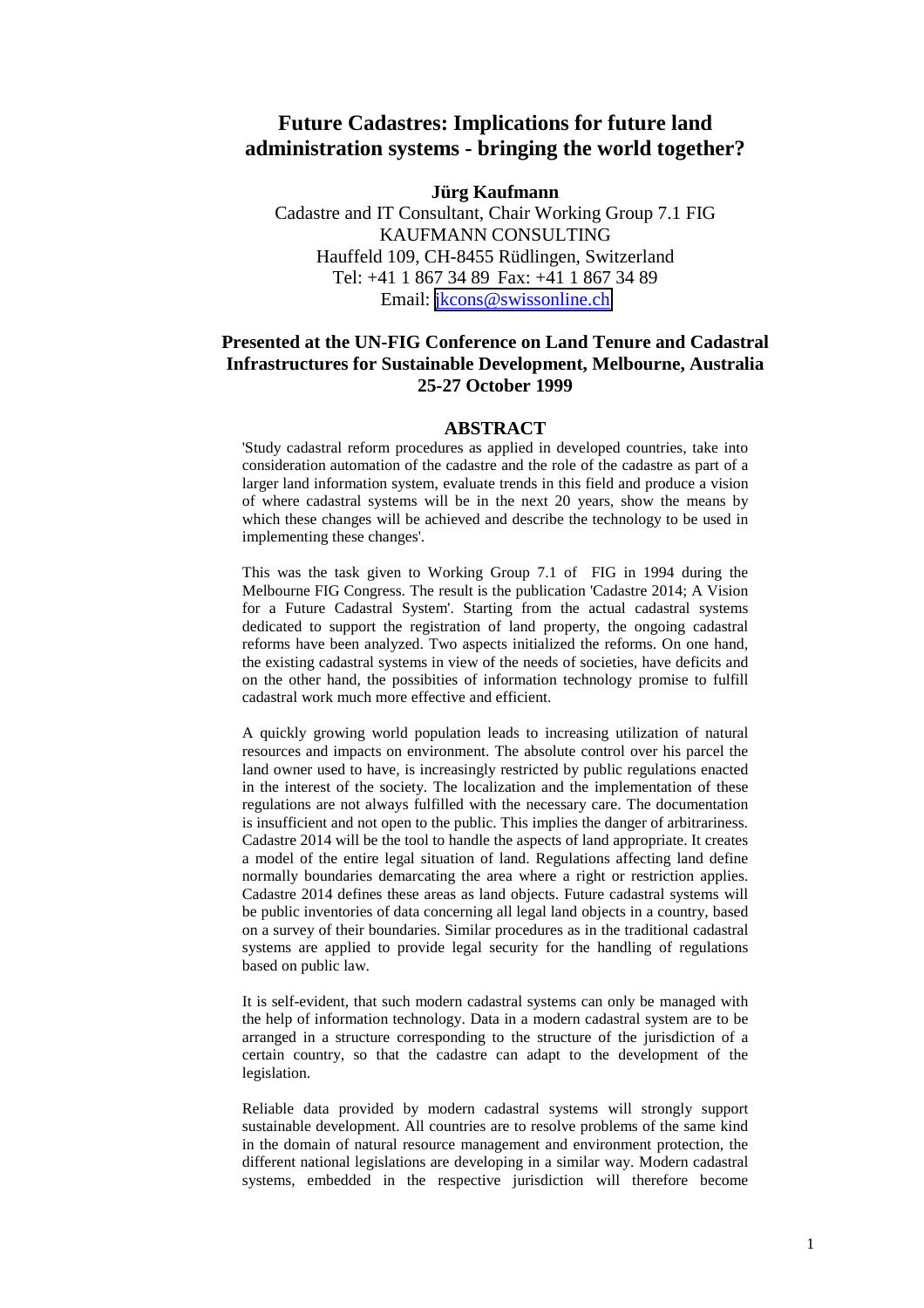## **Future Cadastres: Implications for future land administration systems - bringing the world together?**

#### **Jürg Kaufmann**

Cadastre and IT Consultant, Chair Working Group 7.1 FIG KAUFMANN CONSULTING Hauffeld 109, CH-8455 Rüdlingen, Switzerland Tel: +41 1 867 34 89 Fax: +41 1 867 34 89 Email: [jkcons@swissonline.ch](mailto:jkcons@swissonline.ch)

#### **Presented at the UN-FIG Conference on Land Tenure and Cadastral Infrastructures for Sustainable Development, Melbourne, Australia 25-27 October 1999**

#### **ABSTRACT**

'Study cadastral reform procedures as applied in developed countries, take into consideration automation of the cadastre and the role of the cadastre as part of a larger land information system, evaluate trends in this field and produce a vision of where cadastral systems will be in the next 20 years, show the means by which these changes will be achieved and describe the technology to be used in implementing these changes'.

This was the task given to Working Group 7.1 of FIG in 1994 during the Melbourne FIG Congress. The result is the publication 'Cadastre 2014; A Vision for a Future Cadastral System'. Starting from the actual cadastral systems dedicated to support the registration of land property, the ongoing cadastral reforms have been analyzed. Two aspects initialized the reforms. On one hand, the existing cadastral systems in view of the needs of societies, have deficits and on the other hand, the possibities of information technology promise to fulfill cadastral work much more effective and efficient.

A quickly growing world population leads to increasing utilization of natural resources and impacts on environment. The absolute control over his parcel the land owner used to have, is increasingly restricted by public regulations enacted in the interest of the society. The localization and the implementation of these regulations are not always fulfilled with the necessary care. The documentation is insufficient and not open to the public. This implies the danger of arbitrariness. Cadastre 2014 will be the tool to handle the aspects of land appropriate. It creates a model of the entire legal situation of land. Regulations affecting land define normally boundaries demarcating the area where a right or restriction applies. Cadastre 2014 defines these areas as land objects. Future cadastral systems will be public inventories of data concerning all legal land objects in a country, based on a survey of their boundaries. Similar procedures as in the traditional cadastral systems are applied to provide legal security for the handling of regulations based on public law.

It is self-evident, that such modern cadastral systems can only be managed with the help of information technology. Data in a modern cadastral system are to be arranged in a structure corresponding to the structure of the jurisdiction of a certain country, so that the cadastre can adapt to the development of the legislation.

Reliable data provided by modern cadastral systems will strongly support sustainable development. All countries are to resolve problems of the same kind in the domain of natural resource management and environment protection, the different national legislations are developing in a similar way. Modern cadastral systems, embedded in the respective jurisdiction will therefore become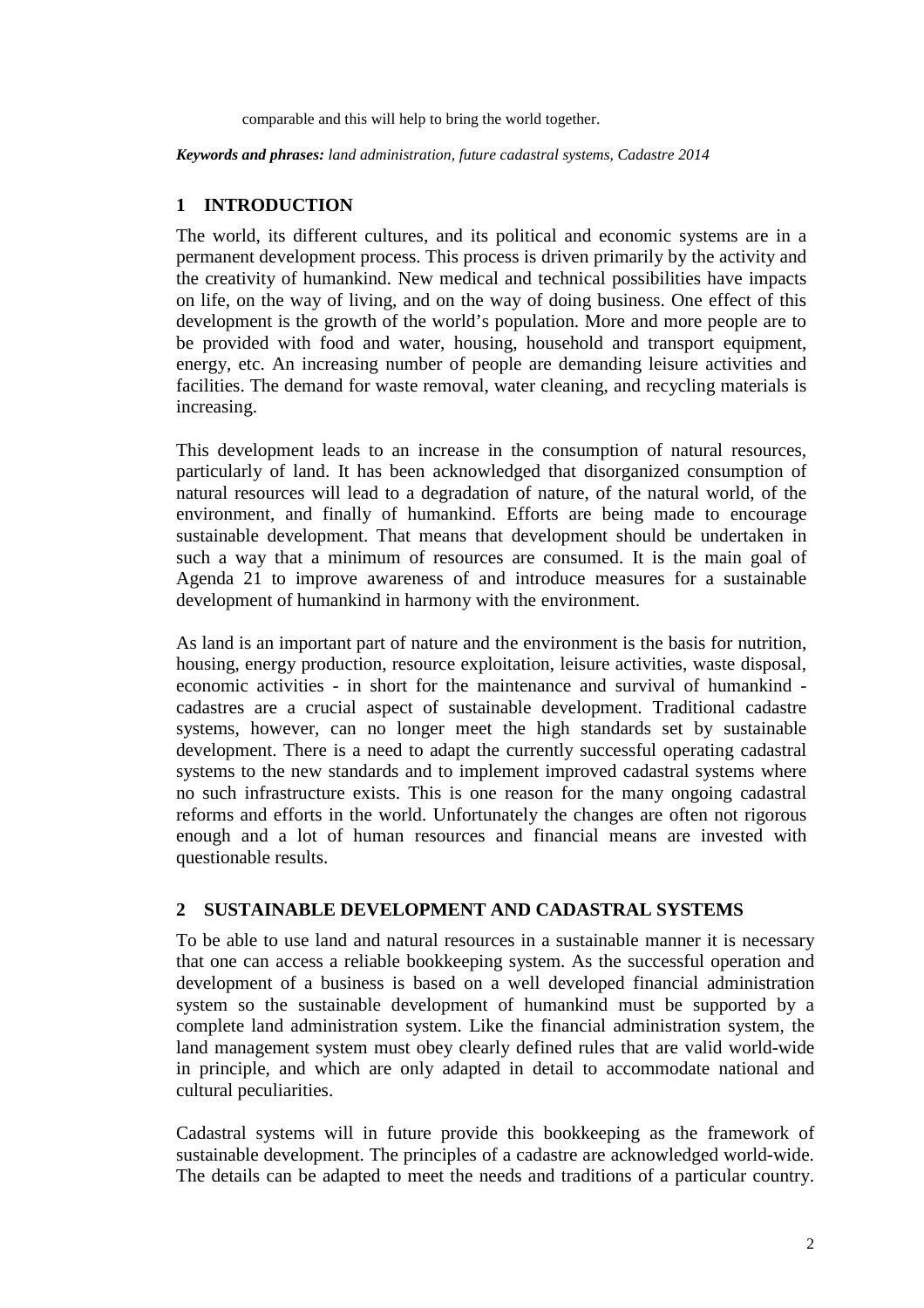comparable and this will help to bring the world together.

*Keywords and phrases: land administration, future cadastral systems, Cadastre 2014*

# **1 INTRODUCTION**

The world, its different cultures, and its political and economic systems are in a permanent development process. This process is driven primarily by the activity and the creativity of humankind. New medical and technical possibilities have impacts on life, on the way of living, and on the way of doing business. One effect of this development is the growth of the world's population. More and more people are to be provided with food and water, housing, household and transport equipment, energy, etc. An increasing number of people are demanding leisure activities and facilities. The demand for waste removal, water cleaning, and recycling materials is increasing.

This development leads to an increase in the consumption of natural resources, particularly of land. It has been acknowledged that disorganized consumption of natural resources will lead to a degradation of nature, of the natural world, of the environment, and finally of humankind. Efforts are being made to encourage sustainable development. That means that development should be undertaken in such a way that a minimum of resources are consumed. It is the main goal of Agenda 21 to improve awareness of and introduce measures for a sustainable development of humankind in harmony with the environment.

As land is an important part of nature and the environment is the basis for nutrition, housing, energy production, resource exploitation, leisure activities, waste disposal, economic activities - in short for the maintenance and survival of humankind cadastres are a crucial aspect of sustainable development. Traditional cadastre systems, however, can no longer meet the high standards set by sustainable development. There is a need to adapt the currently successful operating cadastral systems to the new standards and to implement improved cadastral systems where no such infrastructure exists. This is one reason for the many ongoing cadastral reforms and efforts in the world. Unfortunately the changes are often not rigorous enough and a lot of human resources and financial means are invested with questionable results.

## **2 SUSTAINABLE DEVELOPMENT AND CADASTRAL SYSTEMS**

To be able to use land and natural resources in a sustainable manner it is necessary that one can access a reliable bookkeeping system. As the successful operation and development of a business is based on a well developed financial administration system so the sustainable development of humankind must be supported by a complete land administration system. Like the financial administration system, the land management system must obey clearly defined rules that are valid world-wide in principle, and which are only adapted in detail to accommodate national and cultural peculiarities.

Cadastral systems will in future provide this bookkeeping as the framework of sustainable development. The principles of a cadastre are acknowledged world-wide. The details can be adapted to meet the needs and traditions of a particular country.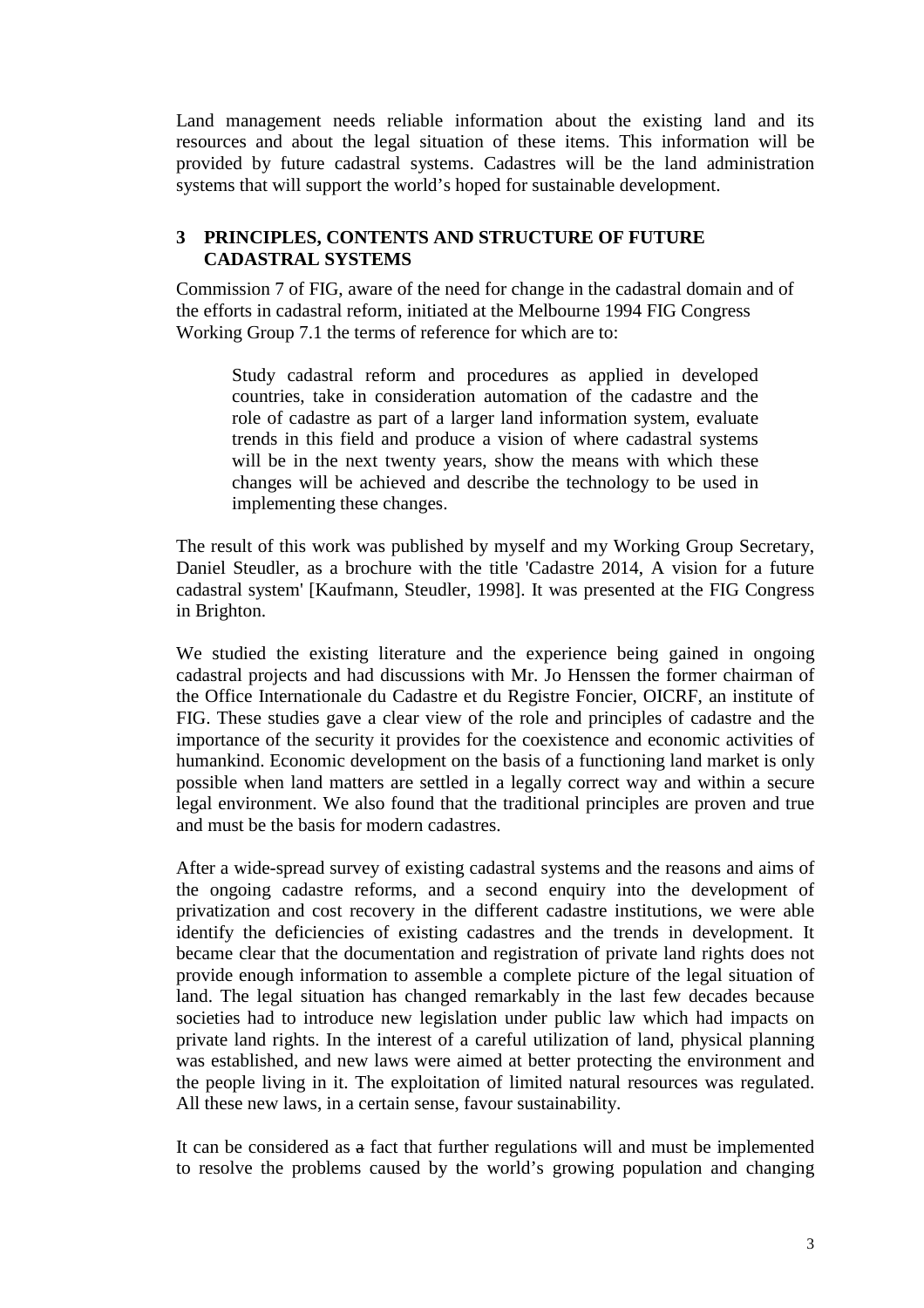Land management needs reliable information about the existing land and its resources and about the legal situation of these items. This information will be provided by future cadastral systems. Cadastres will be the land administration systems that will support the world's hoped for sustainable development.

## **3 PRINCIPLES, CONTENTS AND STRUCTURE OF FUTURE CADASTRAL SYSTEMS**

Commission 7 of FIG, aware of the need for change in the cadastral domain and of the efforts in cadastral reform, initiated at the Melbourne 1994 FIG Congress Working Group 7.1 the terms of reference for which are to:

Study cadastral reform and procedures as applied in developed countries, take in consideration automation of the cadastre and the role of cadastre as part of a larger land information system, evaluate trends in this field and produce a vision of where cadastral systems will be in the next twenty years, show the means with which these changes will be achieved and describe the technology to be used in implementing these changes.

The result of this work was published by myself and my Working Group Secretary, Daniel Steudler, as a brochure with the title 'Cadastre 2014, A vision for a future cadastral system' [Kaufmann, Steudler, 1998]. It was presented at the FIG Congress in Brighton.

We studied the existing literature and the experience being gained in ongoing cadastral projects and had discussions with Mr. Jo Henssen the former chairman of the Office Internationale du Cadastre et du Registre Foncier, OICRF, an institute of FIG. These studies gave a clear view of the role and principles of cadastre and the importance of the security it provides for the coexistence and economic activities of humankind. Economic development on the basis of a functioning land market is only possible when land matters are settled in a legally correct way and within a secure legal environment. We also found that the traditional principles are proven and true and must be the basis for modern cadastres.

After a wide-spread survey of existing cadastral systems and the reasons and aims of the ongoing cadastre reforms, and a second enquiry into the development of privatization and cost recovery in the different cadastre institutions, we were able identify the deficiencies of existing cadastres and the trends in development. It became clear that the documentation and registration of private land rights does not provide enough information to assemble a complete picture of the legal situation of land. The legal situation has changed remarkably in the last few decades because societies had to introduce new legislation under public law which had impacts on private land rights. In the interest of a careful utilization of land, physical planning was established, and new laws were aimed at better protecting the environment and the people living in it. The exploitation of limited natural resources was regulated. All these new laws, in a certain sense, favour sustainability.

It can be considered as a fact that further regulations will and must be implemented to resolve the problems caused by the world's growing population and changing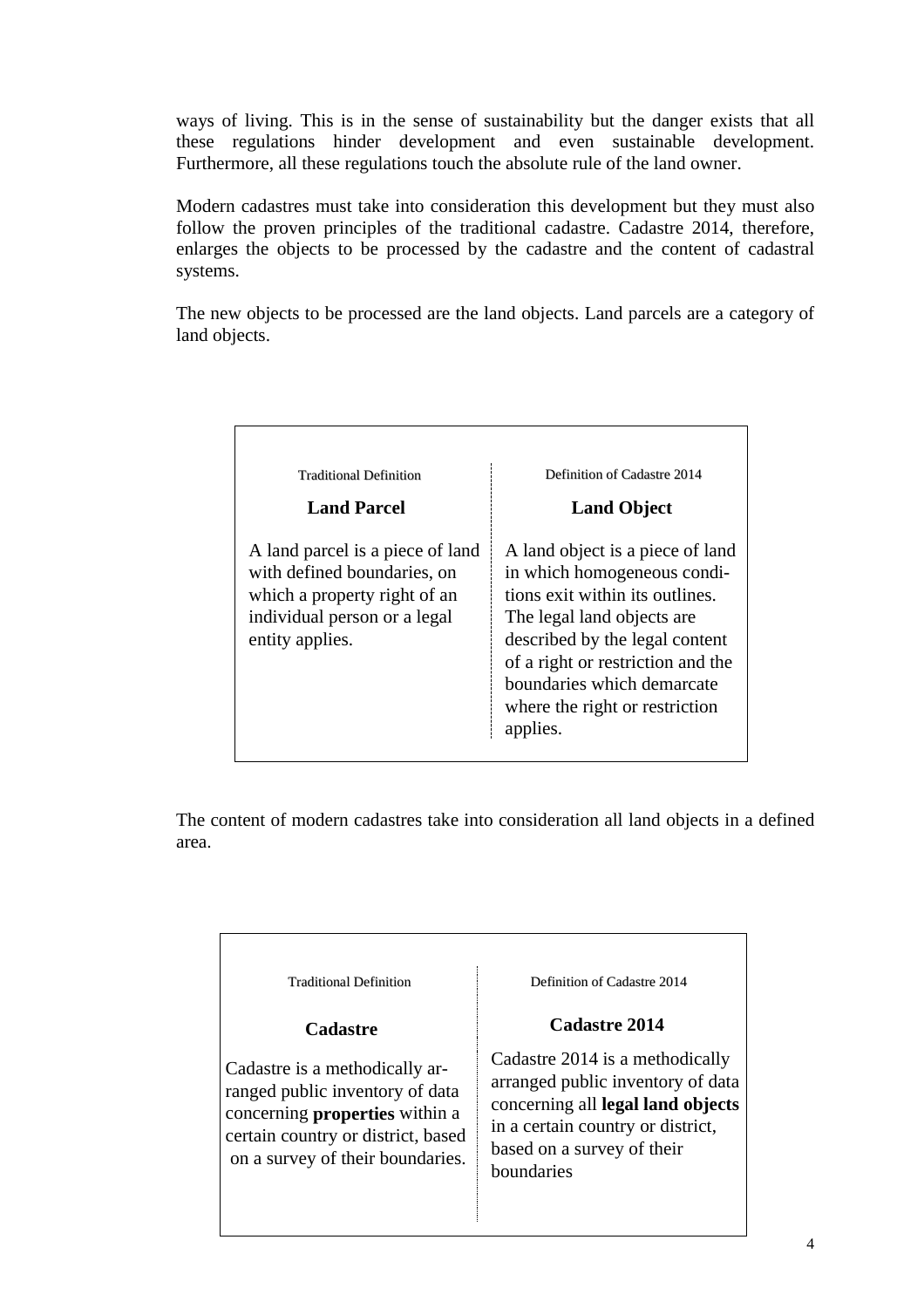ways of living. This is in the sense of sustainability but the danger exists that all these regulations hinder development and even sustainable development. Furthermore, all these regulations touch the absolute rule of the land owner.

Modern cadastres must take into consideration this development but they must also follow the proven principles of the traditional cadastre. Cadastre 2014, therefore, enlarges the objects to be processed by the cadastre and the content of cadastral systems.

The new objects to be processed are the land objects. Land parcels are a category of land objects.

| <b>Traditional Definition</b>                                                                                                                      | Definition of Cadastre 2014                                                                                                                                                                                                                                                         |
|----------------------------------------------------------------------------------------------------------------------------------------------------|-------------------------------------------------------------------------------------------------------------------------------------------------------------------------------------------------------------------------------------------------------------------------------------|
| <b>Land Parcel</b>                                                                                                                                 | <b>Land Object</b>                                                                                                                                                                                                                                                                  |
| A land parcel is a piece of land<br>with defined boundaries, on<br>which a property right of an<br>individual person or a legal<br>entity applies. | A land object is a piece of land<br>in which homogeneous condi-<br>tions exit within its outlines.<br>The legal land objects are<br>described by the legal content<br>of a right or restriction and the<br>boundaries which demarcate<br>where the right or restriction<br>applies. |

The content of modern cadastres take into consideration all land objects in a defined area.

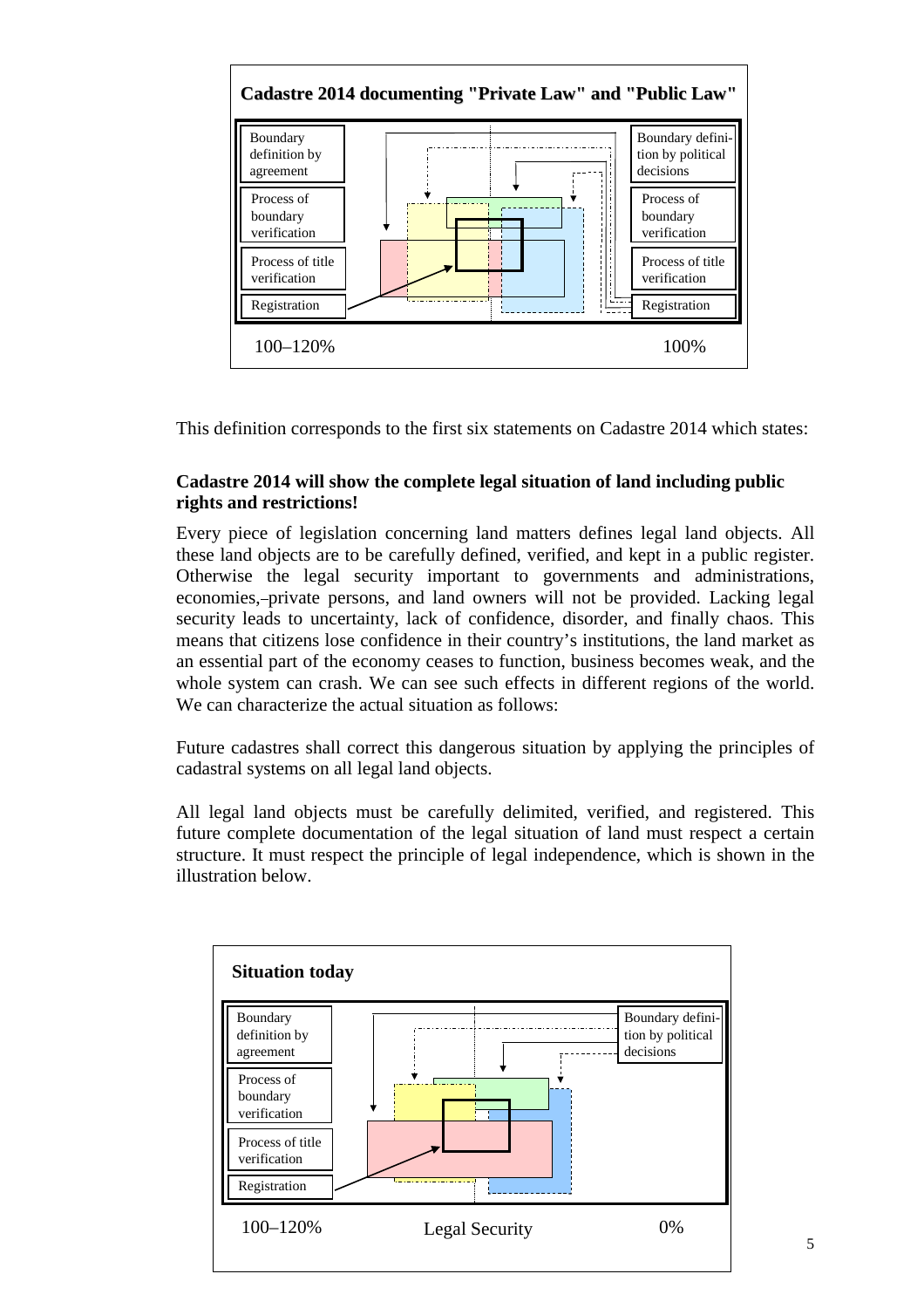

This definition corresponds to the first six statements on Cadastre 2014 which states:

## **Cadastre 2014 will show the complete legal situation of land including public rights and restrictions!**

Every piece of legislation concerning land matters defines legal land objects. All these land objects are to be carefully defined, verified, and kept in a public register. Otherwise the legal security important to governments and administrations, economies, private persons, and land owners will not be provided. Lacking legal security leads to uncertainty, lack of confidence, disorder, and finally chaos. This means that citizens lose confidence in their country's institutions, the land market as an essential part of the economy ceases to function, business becomes weak, and the whole system can crash. We can see such effects in different regions of the world. We can characterize the actual situation as follows:

Future cadastres shall correct this dangerous situation by applying the principles of cadastral systems on all legal land objects.

All legal land objects must be carefully delimited, verified, and registered. This future complete documentation of the legal situation of land must respect a certain structure. It must respect the principle of legal independence, which is shown in the illustration below.

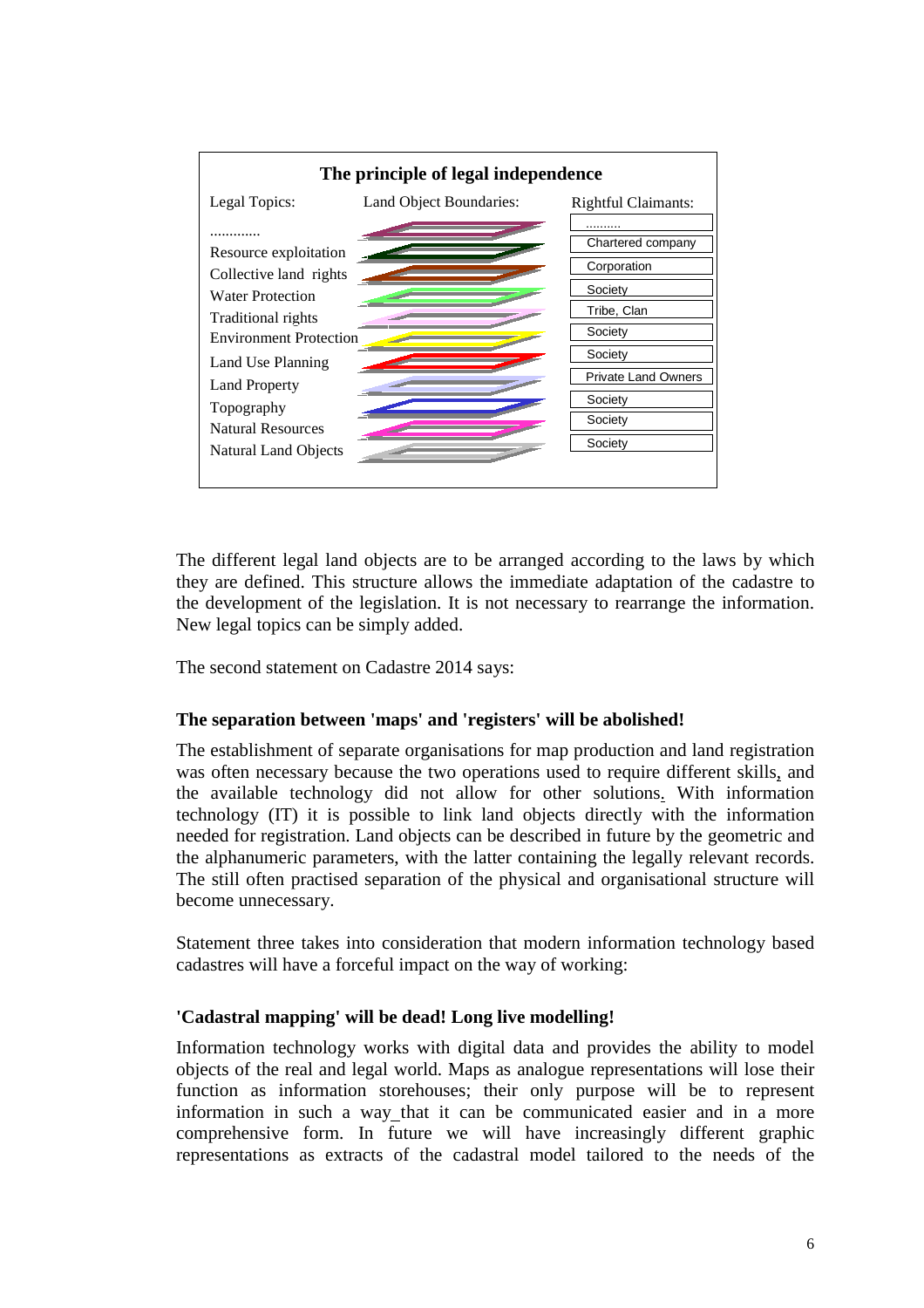

The different legal land objects are to be arranged according to the laws by which they are defined. This structure allows the immediate adaptation of the cadastre to the development of the legislation. It is not necessary to rearrange the information. New legal topics can be simply added.

The second statement on Cadastre 2014 says:

## **The separation between 'maps' and 'registers' will be abolished!**

The establishment of separate organisations for map production and land registration was often necessary because the two operations used to require different skills, and the available technology did not allow for other solutions. With information technology (IT) it is possible to link land objects directly with the information needed for registration. Land objects can be described in future by the geometric and the alphanumeric parameters, with the latter containing the legally relevant records. The still often practised separation of the physical and organisational structure will become unnecessary.

Statement three takes into consideration that modern information technology based cadastres will have a forceful impact on the way of working:

## **'Cadastral mapping' will be dead! Long live modelling!**

Information technology works with digital data and provides the ability to model objects of the real and legal world. Maps as analogue representations will lose their function as information storehouses; their only purpose will be to represent information in such a way that it can be communicated easier and in a more comprehensive form. In future we will have increasingly different graphic representations as extracts of the cadastral model tailored to the needs of the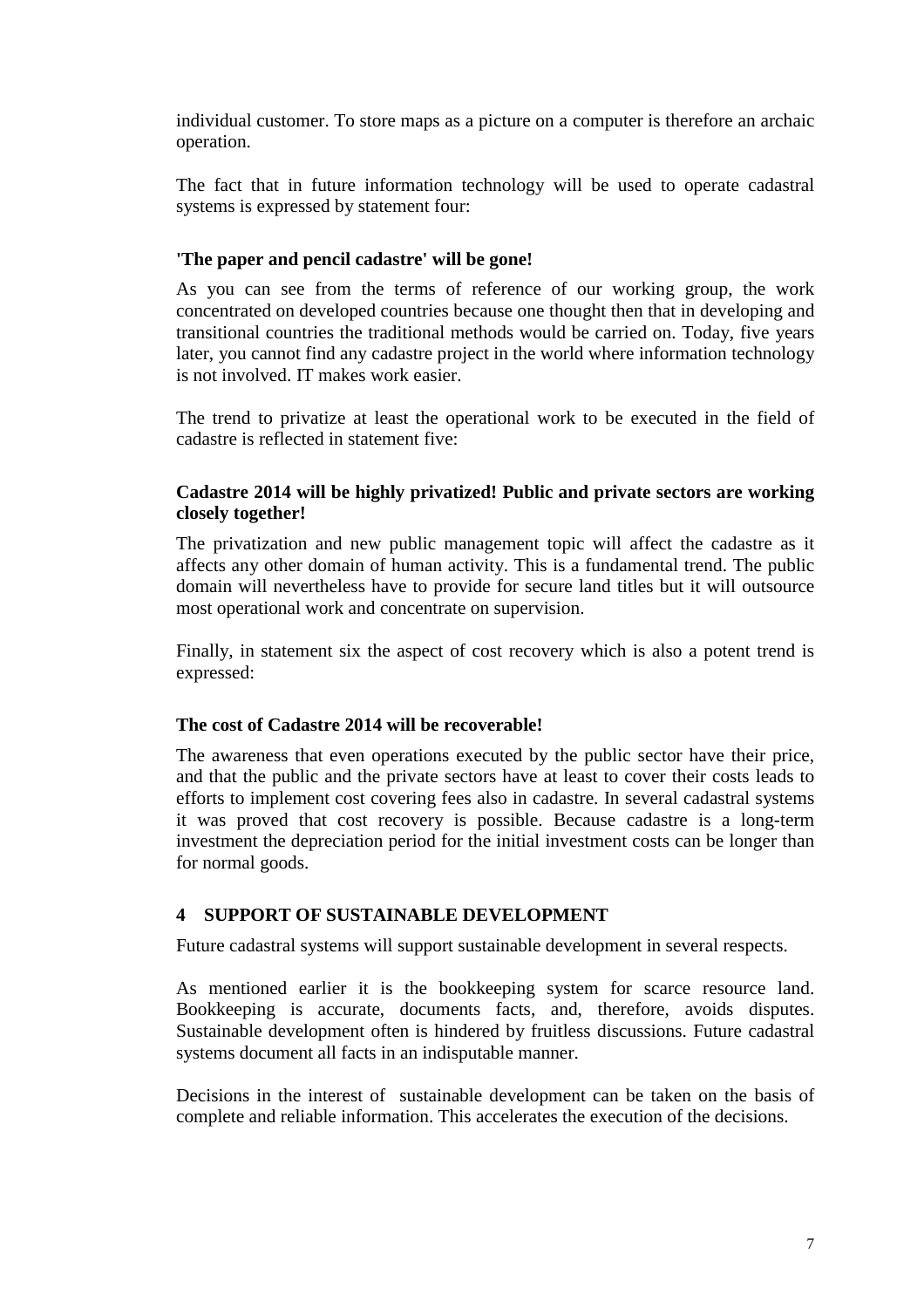individual customer. To store maps as a picture on a computer is therefore an archaic operation.

The fact that in future information technology will be used to operate cadastral systems is expressed by statement four:

#### **'The paper and pencil cadastre' will be gone!**

As you can see from the terms of reference of our working group, the work concentrated on developed countries because one thought then that in developing and transitional countries the traditional methods would be carried on. Today, five years later, you cannot find any cadastre project in the world where information technology is not involved. IT makes work easier.

The trend to privatize at least the operational work to be executed in the field of cadastre is reflected in statement five:

#### **Cadastre 2014 will be highly privatized! Public and private sectors are working closely together!**

The privatization and new public management topic will affect the cadastre as it affects any other domain of human activity. This is a fundamental trend. The public domain will nevertheless have to provide for secure land titles but it will outsource most operational work and concentrate on supervision.

Finally, in statement six the aspect of cost recovery which is also a potent trend is expressed:

#### **The cost of Cadastre 2014 will be recoverable!**

The awareness that even operations executed by the public sector have their price, and that the public and the private sectors have at least to cover their costs leads to efforts to implement cost covering fees also in cadastre. In several cadastral systems it was proved that cost recovery is possible. Because cadastre is a long-term investment the depreciation period for the initial investment costs can be longer than for normal goods.

#### **4 SUPPORT OF SUSTAINABLE DEVELOPMENT**

Future cadastral systems will support sustainable development in several respects.

As mentioned earlier it is the bookkeeping system for scarce resource land. Bookkeeping is accurate, documents facts, and, therefore, avoids disputes. Sustainable development often is hindered by fruitless discussions. Future cadastral systems document all facts in an indisputable manner.

Decisions in the interest of sustainable development can be taken on the basis of complete and reliable information. This accelerates the execution of the decisions.